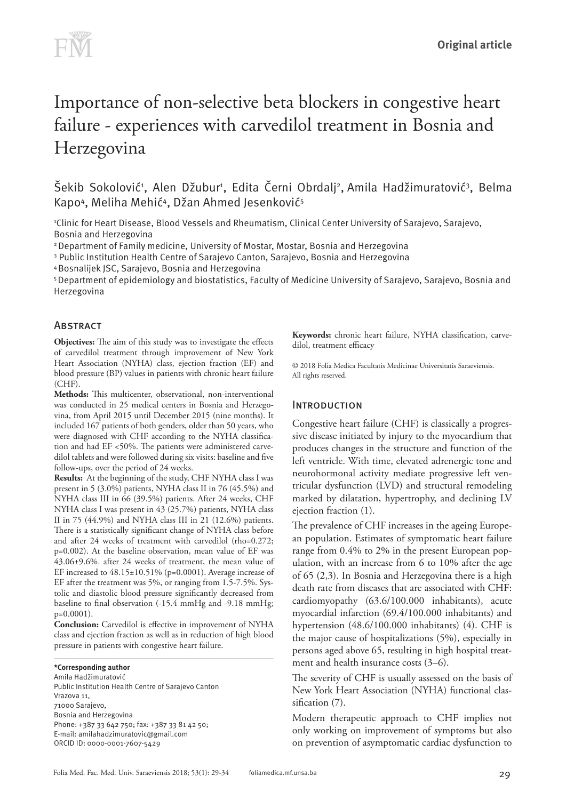

# Importance of non-selective beta blockers in congestive heart failure - experiences with carvedilol treatment in Bosnia and Herzegovina

Šekib Sokolović<sup>1</sup>, Alen Džubur<sup>1</sup>, Edita Černi Obrdalj<sup>2</sup>, Amila Hadžimuratović<sup>3</sup>, Belma Kapo4, Meliha Mehić4, Džan Ahmed Jesenković<sup>5</sup>

1 Clinic for Heart Disease, Blood Vessels and Rheumatism, Clinical Center University of Sarajevo, Sarajevo, Bosnia and Herzegovina

2 Department of Family medicine, University of Mostar, Mostar, Bosnia and Herzegovina

3 Public Institution Health Centre of Sarajevo Canton, Sarajevo, Bosnia and Herzegovina

4 Bosnalijek JSC, Sarajevo, Bosnia and Herzegovina

5 Department of epidemiology and biostatistics, Faculty of Medicine University of Sarajevo, Sarajevo, Bosnia and Herzegovina

# **ABSTRACT**

**Objectives:** The aim of this study was to investigate the effects of carvedilol treatment through improvement of New York Heart Association (NYHA) class, ejection fraction (EF) and blood pressure (BP) values in patients with chronic heart failure (CHF).

**Methods:** This multicenter, observational, non-interventional was conducted in 25 medical centers in Bosnia and Herzegovina, from April 2015 until December 2015 (nine months). It included 167 patients of both genders, older than 50 years, who were diagnosed with CHF according to the NYHA classification and had EF <50%. The patients were administered carvedilol tablets and were followed during six visits: baseline and five follow-ups, over the period of 24 weeks.

**Results:** At the beginning of the study, CHF NYHA class I was present in 5 (3.0%) patients, NYHA class II in 76 (45.5%) and NYHA class III in 66 (39.5%) patients. After 24 weeks, CHF NYHA class I was present in 43 (25.7%) patients, NYHA class II in 75 (44.9%) and NYHA class III in 21 (12.6%) patients. There is a statistically significant change of NYHA class before and after 24 weeks of treatment with carvedilol (rho=0.272; p=0.002). At the baseline observation, mean value of EF was 43.06±9.6%. after 24 weeks of treatment, the mean value of EF increased to 48.15±10.51% (p=0.0001). Average increase of EF after the treatment was 5%, or ranging from 1.5-7.5%. Systolic and diastolic blood pressure significantly decreased from baseline to final observation (-15.4 mmHg and -9.18 mmHg; p=0.0001).

**Conclusion:** Carvedilol is effective in improvement of NYHA class and ejection fraction as well as in reduction of high blood pressure in patients with congestive heart failure.

#### **\*Corresponding author**

Amila Hadžimuratović Public Institution Health Centre of Sarajevo Canton Vrazova 11, 71000 Sarajevo, Bosnia and Herzegovina Phone: +387 33 642 750; fax: +387 33 81 42 50; E-mail: amilahadzimuratovic@gmail.com ORCID ID: 0000-0001-7607-5429

**Keywords:** chronic heart failure, NYHA classification, carvedilol, treatment efficacy

© 2018 Folia Medica Facultatis Medicinae Universitatis Saraeviensis. All rights reserved.

## **INTRODUCTION**

Congestive heart failure (CHF) is classically a progressive disease initiated by injury to the myocardium that produces changes in the structure and function of the left ventricle. With time, elevated adrenergic tone and neurohormonal activity mediate progressive left ventricular dysfunction (LVD) and structural remodeling marked by dilatation, hypertrophy, and declining LV ejection fraction (1).

The prevalence of CHF increases in the ageing European population. Estimates of symptomatic heart failure range from 0.4% to 2% in the present European population, with an increase from 6 to 10% after the age of 65 (2,3). In Bosnia and Herzegovina there is a high death rate from diseases that are associated with CHF: cardiomyopathy (63.6/100.000 inhabitants), acute myocardial infarction (69.4/100.000 inhabitants) and hypertension (48.6/100.000 inhabitants) (4). CHF is the major cause of hospitalizations (5%), especially in persons aged above 65, resulting in high hospital treatment and health insurance costs (3–6).

The severity of CHF is usually assessed on the basis of New York Heart Association (NYHA) functional classification (7).

Modern therapeutic approach to CHF implies not only working on improvement of symptoms but also on prevention of asymptomatic cardiac dysfunction to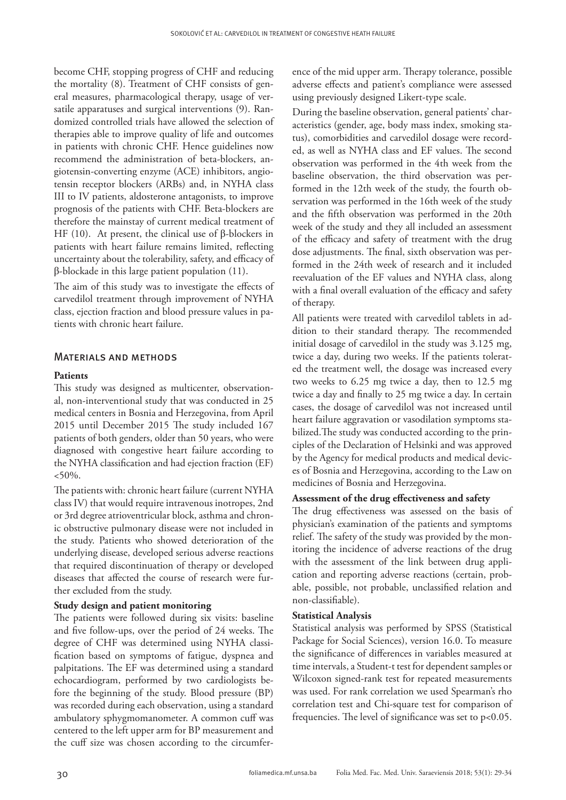become CHF, stopping progress of CHF and reducing the mortality (8). Treatment of CHF consists of general measures, pharmacological therapy, usage of versatile apparatuses and surgical interventions (9). Randomized controlled trials have allowed the selection of therapies able to improve quality of life and outcomes in patients with chronic CHF. Hence guidelines now recommend the administration of beta-blockers, angiotensin-converting enzyme (ACE) inhibitors, angiotensin receptor blockers (ARBs) and, in NYHA class III to IV patients, aldosterone antagonists, to improve prognosis of the patients with CHF. Beta-blockers are therefore the mainstay of current medical treatment of HF (10). At present, the clinical use of β-blockers in patients with heart failure remains limited, reflecting uncertainty about the tolerability, safety, and efficacy of β-blockade in this large patient population (11).

The aim of this study was to investigate the effects of carvedilol treatment through improvement of NYHA class, ejection fraction and blood pressure values in patients with chronic heart failure.

# Materials and methods

### **Patients**

This study was designed as multicenter, observational, non-interventional study that was conducted in 25 medical centers in Bosnia and Herzegovina, from April 2015 until December 2015 The study included 167 patients of both genders, older than 50 years, who were diagnosed with congestive heart failure according to the NYHA classification and had ejection fraction (EF)  $<50\%$ .

The patients with: chronic heart failure (current NYHA class IV) that would require intravenous inotropes, 2nd or 3rd degree atrioventricular block, asthma and chronic obstructive pulmonary disease were not included in the study. Patients who showed deterioration of the underlying disease, developed serious adverse reactions that required discontinuation of therapy or developed diseases that affected the course of research were further excluded from the study.

### **Study design and patient monitoring**

The patients were followed during six visits: baseline and five follow-ups, over the period of 24 weeks. The degree of CHF was determined using NYHA classification based on symptoms of fatigue, dyspnea and palpitations. The EF was determined using a standard echocardiogram, performed by two cardiologists before the beginning of the study. Blood pressure (BP) was recorded during each observation, using a standard ambulatory sphygmomanometer. A common cuff was centered to the left upper arm for BP measurement and the cuff size was chosen according to the circumference of the mid upper arm. Therapy tolerance, possible adverse effects and patient's compliance were assessed using previously designed Likert-type scale.

During the baseline observation, general patients' characteristics (gender, age, body mass index, smoking status), comorbidities and carvedilol dosage were recorded, as well as NYHA class and EF values. The second observation was performed in the 4th week from the baseline observation, the third observation was performed in the 12th week of the study, the fourth observation was performed in the 16th week of the study and the fifth observation was performed in the 20th week of the study and they all included an assessment of the efficacy and safety of treatment with the drug dose adjustments. The final, sixth observation was performed in the 24th week of research and it included reevaluation of the EF values and NYHA class, along with a final overall evaluation of the efficacy and safety of therapy.

All patients were treated with carvedilol tablets in addition to their standard therapy. The recommended initial dosage of carvedilol in the study was 3.125 mg, twice a day, during two weeks. If the patients tolerated the treatment well, the dosage was increased every two weeks to 6.25 mg twice a day, then to 12.5 mg twice a day and finally to 25 mg twice a day. In certain cases, the dosage of carvedilol was not increased until heart failure aggravation or vasodilation symptoms stabilized.The study was conducted according to the principles of the Declaration of Helsinki and was approved by the Agency for medical products and medical devices of Bosnia and Herzegovina, according to the Law on medicines of Bosnia and Herzegovina.

### **Assessment of the drug effectiveness and safety**

The drug effectiveness was assessed on the basis of physician's examination of the patients and symptoms relief. The safety of the study was provided by the monitoring the incidence of adverse reactions of the drug with the assessment of the link between drug application and reporting adverse reactions (certain, probable, possible, not probable, unclassified relation and non-classifiable).

### **Statistical Analysis**

Statistical analysis was performed by SPSS (Statistical Package for Social Sciences), version 16.0. To measure the significance of differences in variables measured at time intervals, a Student-t test for dependent samples or Wilcoxon signed-rank test for repeated measurements was used. For rank correlation we used Spearman's rho correlation test and Chi-square test for comparison of frequencies. The level of significance was set to p<0.05.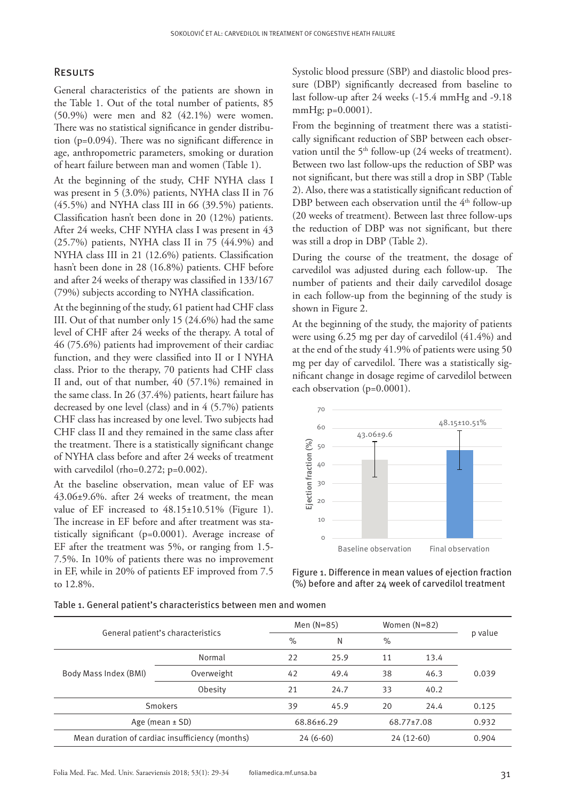### **RESULTS**

General characteristics of the patients are shown in the Table 1. Out of the total number of patients, 85 (50.9%) were men and 82 (42.1%) were women. There was no statistical significance in gender distribution (p=0.094). There was no significant difference in age, anthropometric parameters, smoking or duration of heart failure between man and women (Table 1).

At the beginning of the study, CHF NYHA class I was present in 5 (3.0%) patients, NYHA class II in 76 (45.5%) and NYHA class III in 66 (39.5%) patients. Classification hasn't been done in 20 (12%) patients. After 24 weeks, CHF NYHA class I was present in 43 (25.7%) patients, NYHA class II in 75 (44.9%) and NYHA class III in 21 (12.6%) patients. Classification hasn't been done in 28 (16.8%) patients. CHF before and after 24 weeks of therapy was classified in 133/167 (79%) subjects according to NYHA classification.

At the beginning of the study, 61 patient had CHF class III. Out of that number only 15 (24.6%) had the same level of CHF after 24 weeks of the therapy. A total of 46 (75.6%) patients had improvement of their cardiac function, and they were classified into II or I NYHA class. Prior to the therapy, 70 patients had CHF class II and, out of that number, 40 (57.1%) remained in the same class. In 26 (37.4%) patients, heart failure has decreased by one level (class) and in 4 (5.7%) patients CHF class has increased by one level. Two subjects had CHF class II and they remained in the same class after the treatment. There is a statistically significant change of NYHA class before and after 24 weeks of treatment with carvedilol (rho=0.272; p=0.002).

At the baseline observation, mean value of EF was 43.06±9.6%. after 24 weeks of treatment, the mean value of EF increased to  $48.15 \pm 10.51\%$  (Figure 1). The increase in EF before and after treatment was statistically significant (p=0.0001). Average increase of EF after the treatment was 5%, or ranging from 1.5- 7.5%. In 10% of patients there was no improvement in EF, while in 20% of patients EF improved from 7.5 to 12.8%.

Systolic blood pressure (SBP) and diastolic blood pressure (DBP) significantly decreased from baseline to last follow-up after 24 weeks (-15.4 mmHg and -9.18 mmHg; p=0.0001).

From the beginning of treatment there was a statistically significant reduction of SBP between each observation until the 5<sup>th</sup> follow-up (24 weeks of treatment). Between two last follow-ups the reduction of SBP was not significant, but there was still a drop in SBP (Table 2). Also, there was a statistically significant reduction of DBP between each observation until the 4<sup>th</sup> follow-up (20 weeks of treatment). Between last three follow-ups the reduction of DBP was not significant, but there was still a drop in DBP (Table 2).

During the course of the treatment, the dosage of carvedilol was adjusted during each follow-up. The number of patients and their daily carvedilol dosage in each follow-up from the beginning of the study is shown in Figure 2.

At the beginning of the study, the majority of patients were using 6.25 mg per day of carvedilol (41.4%) and at the end of the study 41.9% of patients were using 50 mg per day of carvedilol. There was a statistically significant change in dosage regime of carvedilol between each observation (p=0.0001).



Figure 1. Difference in mean values of ejection fraction (%) before and after 24 week of carvedilol treatment

Table 1. General patient's characteristics between men and women

|                                                 |                     | Men $(N=85)$ |                    | Women (N=82) |            |         |
|-------------------------------------------------|---------------------|--------------|--------------------|--------------|------------|---------|
| General patient's characteristics               |                     | $\%$         | N                  | $\%$         |            | p value |
| Body Mass Index (BMI)                           | Normal              | 22           | 25.9               | 11           | 13.4       | 0.039   |
|                                                 | Overweight          | 42           | 49.4               | 38           | 46.3       |         |
|                                                 | Obesity             | 21           | 24.7               | 33           | 40.2       |         |
| <b>Smokers</b>                                  |                     | 39           | 20<br>24.4<br>45.9 |              |            | 0.125   |
|                                                 | Age (mean $\pm$ SD) |              | 68.86±6.29         |              | 68.77±7.08 |         |
| Mean duration of cardiac insufficiency (months) |                     | $24(6-60)$   |                    | $24(12-60)$  |            | 0.904   |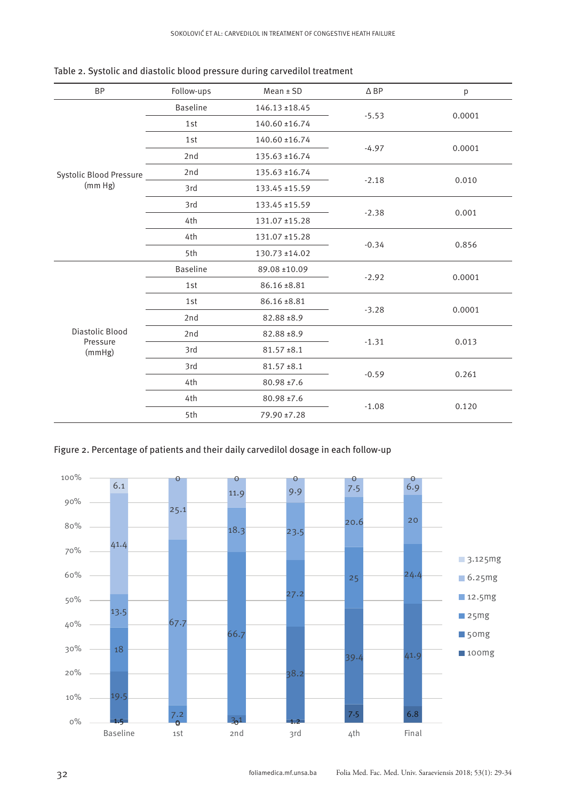| <b>BP</b>                             | Follow-ups      | $Mean \pm SD$      | $\triangle$ BP | р      |  |
|---------------------------------------|-----------------|--------------------|----------------|--------|--|
| Systolic Blood Pressure<br>(mm Hg)    | <b>Baseline</b> | $146.13 \pm 18.45$ |                | 0.0001 |  |
|                                       | 1st             | 140.60 ±16.74      | $-5.53$        |        |  |
|                                       | 1st             | 140.60 ±16.74      |                | 0.0001 |  |
|                                       | 2nd             | 135.63 ±16.74      | $-4.97$        |        |  |
|                                       | 2nd             | 135.63 ±16.74      |                | 0.010  |  |
|                                       | 3rd             | 133.45 ±15.59      | $-2.18$        |        |  |
|                                       | 3rd             | 133.45 ±15.59      |                | 0.001  |  |
|                                       | 4th             | 131.07 ±15.28      | $-2.38$        |        |  |
|                                       | 4th             | 131.07 ±15.28      |                |        |  |
|                                       | 5th             | 130.73 ±14.02      | $-0.34$        | 0.856  |  |
| Diastolic Blood<br>Pressure<br>(mmHg) | <b>Baseline</b> | 89.08 ±10.09       |                | 0.0001 |  |
|                                       | 1st             | 86.16 ±8.81        | $-2.92$        |        |  |
|                                       | 1st             | 86.16 ±8.81        |                | 0.0001 |  |
|                                       | 2nd             | 82.88 ±8.9         | $-3.28$        |        |  |
|                                       | 2nd             | 82.88 ±8.9         | $-1.31$        | 0.013  |  |
|                                       | 3rd             | $81.57 \pm 8.1$    |                |        |  |
|                                       | 3rd             | $81.57 \pm 8.1$    |                | 0.261  |  |
|                                       | 4th             | $80.98 \pm 7.6$    | $-0.59$        |        |  |
|                                       | 4th             | 80.98 ±7.6         |                |        |  |
|                                       | 5th             | 79.90 ±7.28        | $-1.08$        | 0.120  |  |

Table 2. Systolic and diastolic blood pressure during carvedilol treatment

Figure 2. Percentage of patients and their daily carvedilol dosage in each follow-up

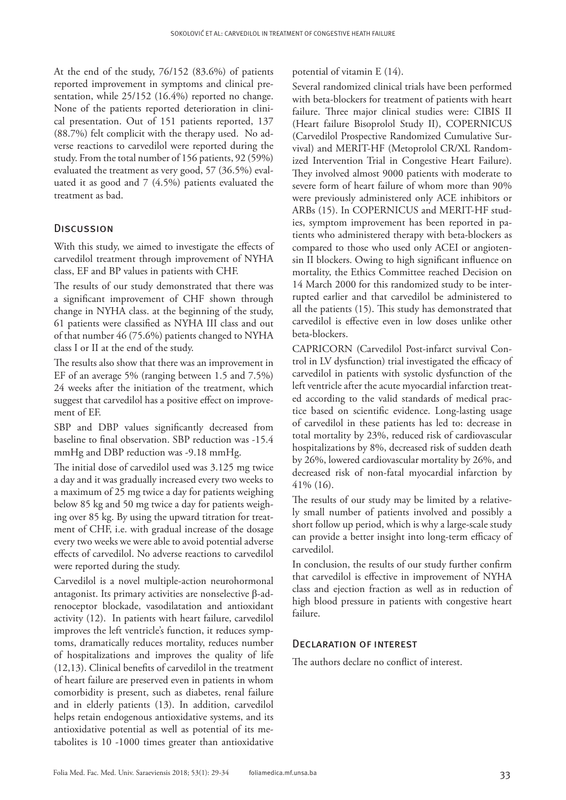At the end of the study, 76/152 (83.6%) of patients reported improvement in symptoms and clinical presentation, while 25/152 (16.4%) reported no change. None of the patients reported deterioration in clinical presentation. Out of 151 patients reported, 137 (88.7%) felt complicit with the therapy used. No adverse reactions to carvedilol were reported during the study. From the total number of 156 patients, 92 (59%) evaluated the treatment as very good, 57 (36.5%) evaluated it as good and 7 (4.5%) patients evaluated the treatment as bad.

# **DISCUSSION**

With this study, we aimed to investigate the effects of carvedilol treatment through improvement of NYHA class, EF and BP values in patients with CHF.

The results of our study demonstrated that there was a significant improvement of CHF shown through change in NYHA class. at the beginning of the study, 61 patients were classified as NYHA III class and out of that number 46 (75.6%) patients changed to NYHA class I or II at the end of the study.

The results also show that there was an improvement in EF of an average 5% (ranging between 1.5 and 7.5%) 24 weeks after the initiation of the treatment, which suggest that carvedilol has a positive effect on improvement of EF.

SBP and DBP values significantly decreased from baseline to final observation. SBP reduction was -15.4 mmHg and DBP reduction was -9.18 mmHg.

The initial dose of carvedilol used was 3.125 mg twice a day and it was gradually increased every two weeks to a maximum of 25 mg twice a day for patients weighing below 85 kg and 50 mg twice a day for patients weighing over 85 kg. By using the upward titration for treatment of CHF, i.e. with gradual increase of the dosage every two weeks we were able to avoid potential adverse effects of carvedilol. No adverse reactions to carvedilol were reported during the study.

Carvedilol is a novel multiple-action neurohormonal antagonist. Its primary activities are nonselective β-adrenoceptor blockade, vasodilatation and antioxidant activity (12). In patients with heart failure, carvedilol improves the left ventricle's function, it reduces symptoms, dramatically reduces mortality, reduces number of hospitalizations and improves the quality of life (12,13). Clinical benefits of carvedilol in the treatment of heart failure are preserved even in patients in whom comorbidity is present, such as diabetes, renal failure and in elderly patients (13). In addition, carvedilol helps retain endogenous antioxidative systems, and its antioxidative potential as well as potential of its metabolites is 10 -1000 times greater than antioxidative

potential of vitamin E (14).

Several randomized clinical trials have been performed with beta-blockers for treatment of patients with heart failure. Three major clinical studies were: CIBIS II (Heart failure Bisoprolol Study II), COPERNICUS (Carvedilol Prospective Randomized Cumulative Survival) and MERIT-HF (Metoprolol CR/XL Randomized Intervention Trial in Congestive Heart Failure). They involved almost 9000 patients with moderate to severe form of heart failure of whom more than 90% were previously administered only ACE inhibitors or ARBs (15). In COPERNICUS and MERIT-HF studies, symptom improvement has been reported in patients who administered therapy with beta-blockers as compared to those who used only ACEI or angiotensin II blockers. Owing to high significant influence on mortality, the Ethics Committee reached Decision on 14 March 2000 for this randomized study to be interrupted earlier and that carvedilol be administered to all the patients (15). This study has demonstrated that carvedilol is effective even in low doses unlike other beta-blockers.

CAPRICORN (Carvedilol Post-infarct survival Control in LV dysfunction) trial investigated the efficacy of carvedilol in patients with systolic dysfunction of the left ventricle after the acute myocardial infarction treated according to the valid standards of medical practice based on scientific evidence. Long-lasting usage of carvedilol in these patients has led to: decrease in total mortality by 23%, reduced risk of cardiovascular hospitalizations by 8%, decreased risk of sudden death by 26%, lowered cardiovascular mortality by 26%, and decreased risk of non-fatal myocardial infarction by 41% (16).

The results of our study may be limited by a relatively small number of patients involved and possibly a short follow up period, which is why a large-scale study can provide a better insight into long-term efficacy of carvedilol.

In conclusion, the results of our study further confirm that carvedilol is effective in improvement of NYHA class and ejection fraction as well as in reduction of high blood pressure in patients with congestive heart failure.

### Declaration of interest

The authors declare no conflict of interest.